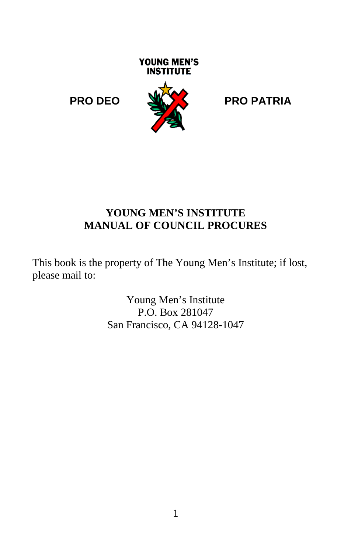#### YOUNG MEN'S **INSTITUTE**



PRO DEO **WAS CONSIDERED BY PRO PATRIA** 

## **YOUNG MEN'S INSTITUTE MANUAL OF COUNCIL PROCURES**

This book is the property of The Young Men's Institute; if lost, please mail to:

> Young Men's Institute P.O. Box 281047 San Francisco, CA 94128-1047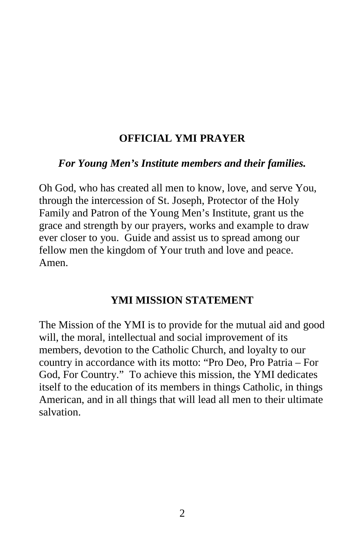## **OFFICIAL YMI PRAYER**

#### *For Young Men's Institute members and their families.*

Oh God, who has created all men to know, love, and serve You, through the intercession of St. Joseph, Protector of the Holy Family and Patron of the Young Men's Institute, grant us the grace and strength by our prayers, works and example to draw ever closer to you. Guide and assist us to spread among our fellow men the kingdom of Your truth and love and peace. Amen.

#### **YMI MISSION STATEMENT**

The Mission of the YMI is to provide for the mutual aid and good will, the moral, intellectual and social improvement of its members, devotion to the Catholic Church, and loyalty to our country in accordance with its motto: "Pro Deo, Pro Patria – For God, For Country." To achieve this mission, the YMI dedicates itself to the education of its members in things Catholic, in things American, and in all things that will lead all men to their ultimate salvation.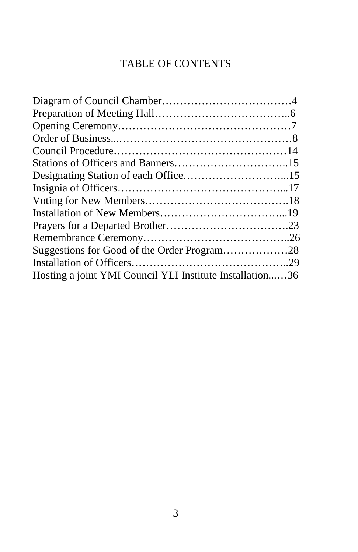## TABLE OF CONTENTS

| Hosting a joint YMI Council YLI Institute Installation36 |  |
|----------------------------------------------------------|--|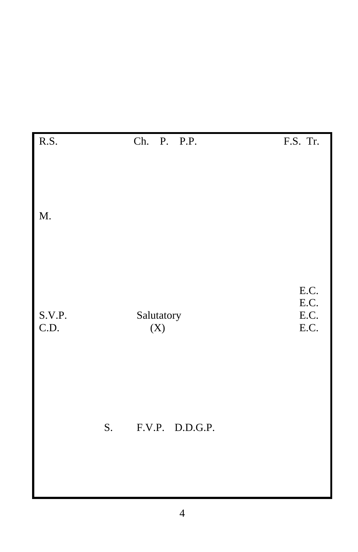| R.S.          |    | Ch. P. P.P.     | F.S. Tr.     |
|---------------|----|-----------------|--------------|
|               |    |                 |              |
|               |    |                 |              |
| $\mathbf{M}.$ |    |                 |              |
|               |    |                 |              |
|               |    |                 |              |
|               |    |                 | E.C.         |
| S.V.P.        |    | Salutatory      | E.C.<br>E.C. |
| C.D.          |    | (X)             | E.C.         |
|               |    |                 |              |
|               |    |                 |              |
|               |    |                 |              |
|               | S. | F.V.P. D.D.G.P. |              |
|               |    |                 |              |
|               |    |                 |              |
|               |    |                 |              |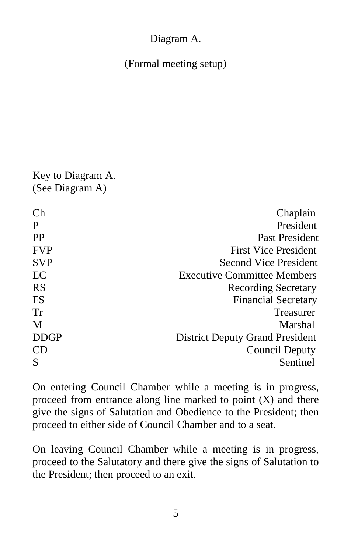## Diagram A.

## (Formal meeting setup)

Key to Diagram A. (See Diagram A)

| Ch          | Chaplain                               |
|-------------|----------------------------------------|
| P           | President                              |
| <b>PP</b>   | Past President                         |
| <b>FVP</b>  | <b>First Vice President</b>            |
| <b>SVP</b>  | <b>Second Vice President</b>           |
| EC          | <b>Executive Committee Members</b>     |
| <b>RS</b>   | <b>Recording Secretary</b>             |
| <b>FS</b>   | <b>Financial Secretary</b>             |
| Tr          | <b>Treasurer</b>                       |
| M           | Marshal                                |
| <b>DDGP</b> | <b>District Deputy Grand President</b> |
| CD          | Council Deputy                         |
| S           | Sentinel                               |
|             |                                        |

On entering Council Chamber while a meeting is in progress, proceed from entrance along line marked to point  $(X)$  and there give the signs of Salutation and Obedience to the President; then proceed to either side of Council Chamber and to a seat.

On leaving Council Chamber while a meeting is in progress, proceed to the Salutatory and there give the signs of Salutation to the President; then proceed to an exit.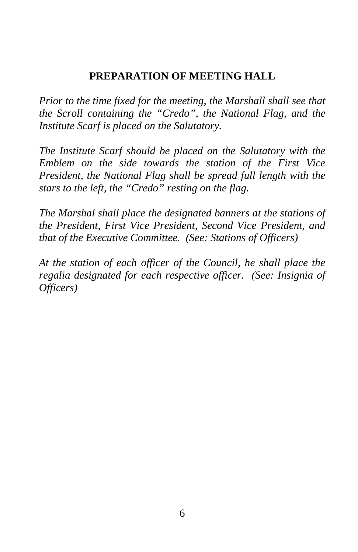### **PREPARATION OF MEETING HALL**

*Prior to the time fixed for the meeting, the Marshall shall see that the Scroll containing the "Credo", the National Flag, and the Institute Scarf is placed on the Salutatory.*

*The Institute Scarf should be placed on the Salutatory with the Emblem on the side towards the station of the First Vice President, the National Flag shall be spread full length with the stars to the left, the "Credo" resting on the flag.*

*The Marshal shall place the designated banners at the stations of the President, First Vice President, Second Vice President, and that of the Executive Committee. (See: Stations of Officers)*

*At the station of each officer of the Council, he shall place the regalia designated for each respective officer. (See: Insignia of Officers)*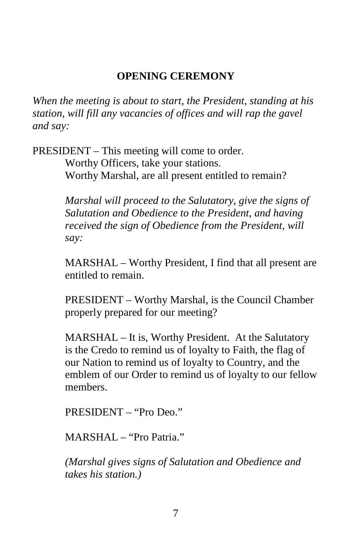#### **OPENING CEREMONY**

*When the meeting is about to start, the President, standing at his station, will fill any vacancies of offices and will rap the gavel and say:*

PRESIDENT – This meeting will come to order. Worthy Officers, take your stations. Worthy Marshal, are all present entitled to remain?

> *Marshal will proceed to the Salutatory, give the signs of Salutation and Obedience to the President, and having received the sign of Obedience from the President, will say:*

MARSHAL – Worthy President, I find that all present are entitled to remain.

PRESIDENT – Worthy Marshal, is the Council Chamber properly prepared for our meeting?

MARSHAL – It is, Worthy President. At the Salutatory is the Credo to remind us of loyalty to Faith, the flag of our Nation to remind us of loyalty to Country, and the emblem of our Order to remind us of loyalty to our fellow members.

PRESIDENT – "Pro Deo."

MARSHAL – "Pro Patria."

*(Marshal gives signs of Salutation and Obedience and takes his station.)*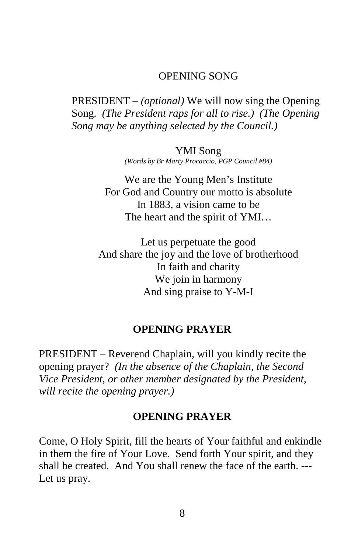#### OPENING SONG

PRESIDENT – *(optional)* We will now sing the Opening Song. *(The President raps for all to rise.) (The Opening Song may be anything selected by the Council.)*

> YMI Song *(Words by Br Marty Procaccio, PGP Council #84)*

We are the Young Men's Institute For God and Country our motto is absolute In 1883, a vision came to be The heart and the spirit of YMI…

Let us perpetuate the good And share the joy and the love of brotherhood In faith and charity We join in harmony And sing praise to Y-M-I

#### **OPENING PRAYER**

PRESIDENT – Reverend Chaplain, will you kindly recite the opening prayer? *(In the absence of the Chaplain, the Second Vice President, or other member designated by the President, will recite the opening prayer.)*

#### **OPENING PRAYER**

Come, O Holy Spirit, fill the hearts of Your faithful and enkindle in them the fire of Your Love. Send forth Your spirit, and they shall be created. And You shall renew the face of the earth. --- Let us pray.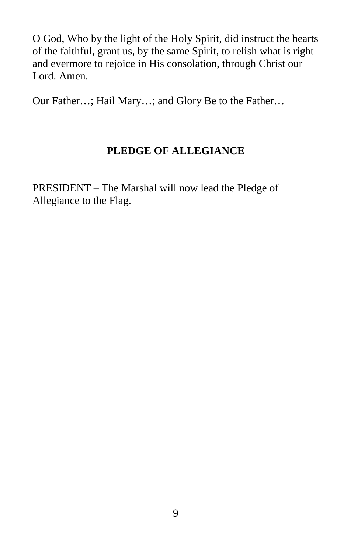O God, Who by the light of the Holy Spirit, did instruct the hearts of the faithful, grant us, by the same Spirit, to relish what is right and evermore to rejoice in His consolation, through Christ our Lord. Amen.

Our Father…; Hail Mary…; and Glory Be to the Father…

## **PLEDGE OF ALLEGIANCE**

PRESIDENT – The Marshal will now lead the Pledge of Allegiance to the Flag.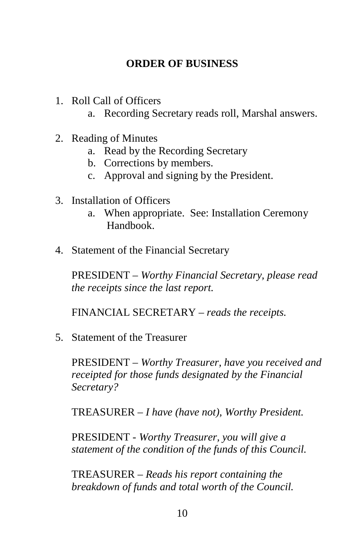## **ORDER OF BUSINESS**

- 1. Roll Call of Officers
	- a. Recording Secretary reads roll, Marshal answers.
- 2. Reading of Minutes
	- a. Read by the Recording Secretary
	- b. Corrections by members.
	- c. Approval and signing by the President.
- 3. Installation of Officers
	- a. When appropriate. See: Installation Ceremony Handbook.
- 4. Statement of the Financial Secretary

PRESIDENT – *Worthy Financial Secretary, please read the receipts since the last report.*

FINANCIAL SECRETARY – *reads the receipts.*

5. Statement of the Treasurer

PRESIDENT – *Worthy Treasurer, have you received and receipted for those funds designated by the Financial Secretary?*

TREASURER – *I have (have not), Worthy President.*

PRESIDENT - *Worthy Treasurer, you will give a statement of the condition of the funds of this Council.*

TREASURER – *Reads his report containing the breakdown of funds and total worth of the Council.*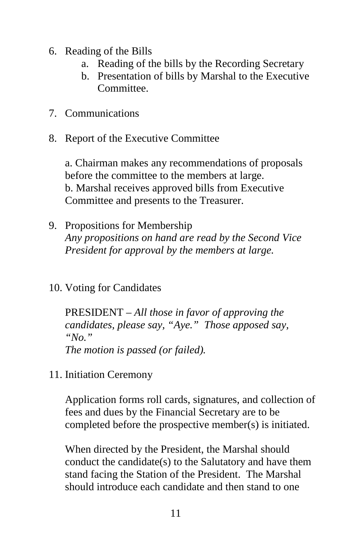- 6. Reading of the Bills
	- a. Reading of the bills by the Recording Secretary
	- b. Presentation of bills by Marshal to the Executive Committee.
- 7. Communications
- 8. Report of the Executive Committee

a. Chairman makes any recommendations of proposals before the committee to the members at large. b. Marshal receives approved bills from Executive Committee and presents to the Treasurer.

- 9. Propositions for Membership *Any propositions on hand are read by the Second Vice President for approval by the members at large.*
- 10. Voting for Candidates

PRESIDENT – *All those in favor of approving the candidates, please say, "Aye." Those apposed say, "No." The motion is passed (or failed).*

11. Initiation Ceremony

Application forms roll cards, signatures, and collection of fees and dues by the Financial Secretary are to be completed before the prospective member(s) is initiated.

When directed by the President, the Marshal should conduct the candidate(s) to the Salutatory and have them stand facing the Station of the President. The Marshal should introduce each candidate and then stand to one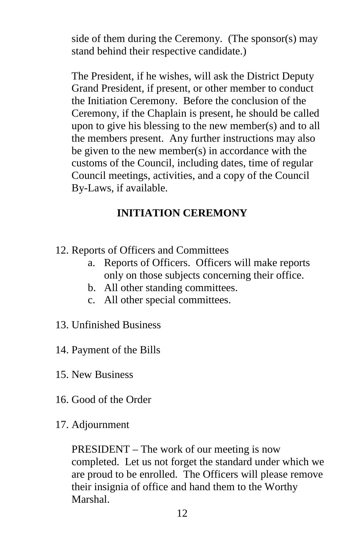side of them during the Ceremony. (The sponsor(s) may stand behind their respective candidate.)

The President, if he wishes, will ask the District Deputy Grand President, if present, or other member to conduct the Initiation Ceremony. Before the conclusion of the Ceremony, if the Chaplain is present, he should be called upon to give his blessing to the new member(s) and to all the members present. Any further instructions may also be given to the new member(s) in accordance with the customs of the Council, including dates, time of regular Council meetings, activities, and a copy of the Council By-Laws, if available.

### **INITIATION CEREMONY**

- 12. Reports of Officers and Committees
	- a. Reports of Officers. Officers will make reports only on those subjects concerning their office.
	- b. All other standing committees.
	- c. All other special committees.
- 13. Unfinished Business
- 14. Payment of the Bills
- 15. New Business
- 16. Good of the Order
- 17. Adjournment

PRESIDENT – The work of our meeting is now completed. Let us not forget the standard under which we are proud to be enrolled. The Officers will please remove their insignia of office and hand them to the Worthy Marshal.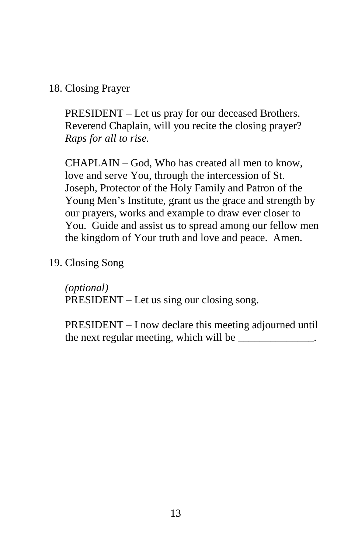18. Closing Prayer

PRESIDENT – Let us pray for our deceased Brothers. Reverend Chaplain, will you recite the closing prayer? *Raps for all to rise.*

CHAPLAIN – God, Who has created all men to know, love and serve You, through the intercession of St. Joseph, Protector of the Holy Family and Patron of the Young Men's Institute, grant us the grace and strength by our prayers, works and example to draw ever closer to You. Guide and assist us to spread among our fellow men the kingdom of Your truth and love and peace. Amen.

19. Closing Song

*(optional)* PRESIDENT – Let us sing our closing song.

PRESIDENT – I now declare this meeting adjourned until the next regular meeting, which will be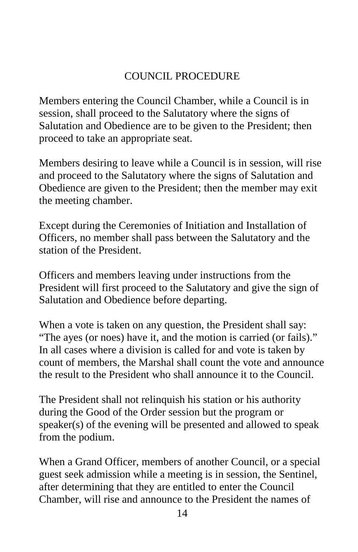## COUNCIL PROCEDURE

Members entering the Council Chamber, while a Council is in session, shall proceed to the Salutatory where the signs of Salutation and Obedience are to be given to the President; then proceed to take an appropriate seat.

Members desiring to leave while a Council is in session, will rise and proceed to the Salutatory where the signs of Salutation and Obedience are given to the President; then the member may exit the meeting chamber.

Except during the Ceremonies of Initiation and Installation of Officers, no member shall pass between the Salutatory and the station of the President.

Officers and members leaving under instructions from the President will first proceed to the Salutatory and give the sign of Salutation and Obedience before departing.

When a vote is taken on any question, the President shall say: "The ayes (or noes) have it, and the motion is carried (or fails)." In all cases where a division is called for and vote is taken by count of members, the Marshal shall count the vote and announce the result to the President who shall announce it to the Council.

The President shall not relinquish his station or his authority during the Good of the Order session but the program or speaker(s) of the evening will be presented and allowed to speak from the podium.

When a Grand Officer, members of another Council, or a special guest seek admission while a meeting is in session, the Sentinel, after determining that they are entitled to enter the Council Chamber, will rise and announce to the President the names of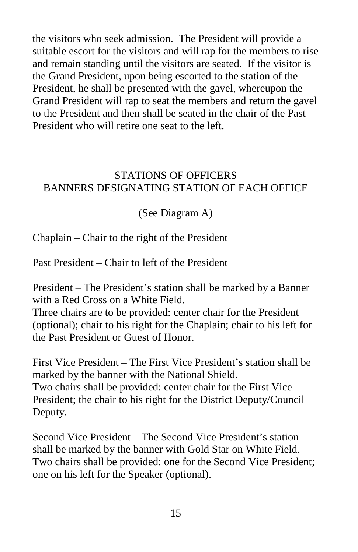the visitors who seek admission. The President will provide a suitable escort for the visitors and will rap for the members to rise and remain standing until the visitors are seated. If the visitor is the Grand President, upon being escorted to the station of the President, he shall be presented with the gavel, whereupon the Grand President will rap to seat the members and return the gavel to the President and then shall be seated in the chair of the Past President who will retire one seat to the left.

## STATIONS OF OFFICERS BANNERS DESIGNATING STATION OF EACH OFFICE

(See Diagram A)

Chaplain – Chair to the right of the President

Past President – Chair to left of the President

President – The President's station shall be marked by a Banner with a Red Cross on a White Field.

Three chairs are to be provided: center chair for the President (optional); chair to his right for the Chaplain; chair to his left for the Past President or Guest of Honor.

First Vice President – The First Vice President's station shall be marked by the banner with the National Shield. Two chairs shall be provided: center chair for the First Vice President; the chair to his right for the District Deputy/Council Deputy.

Second Vice President – The Second Vice President's station shall be marked by the banner with Gold Star on White Field. Two chairs shall be provided: one for the Second Vice President; one on his left for the Speaker (optional).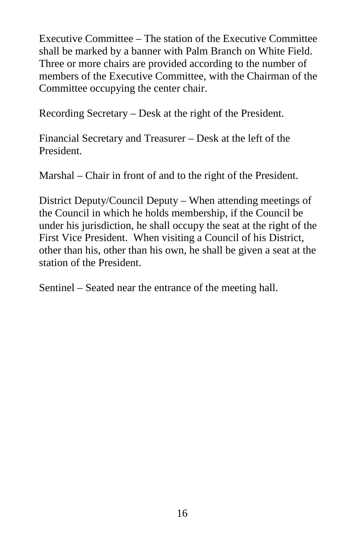Executive Committee – The station of the Executive Committee shall be marked by a banner with Palm Branch on White Field. Three or more chairs are provided according to the number of members of the Executive Committee, with the Chairman of the Committee occupying the center chair.

Recording Secretary – Desk at the right of the President.

Financial Secretary and Treasurer – Desk at the left of the President.

Marshal – Chair in front of and to the right of the President.

District Deputy/Council Deputy – When attending meetings of the Council in which he holds membership, if the Council be under his jurisdiction, he shall occupy the seat at the right of the First Vice President. When visiting a Council of his District, other than his, other than his own, he shall be given a seat at the station of the President.

Sentinel – Seated near the entrance of the meeting hall.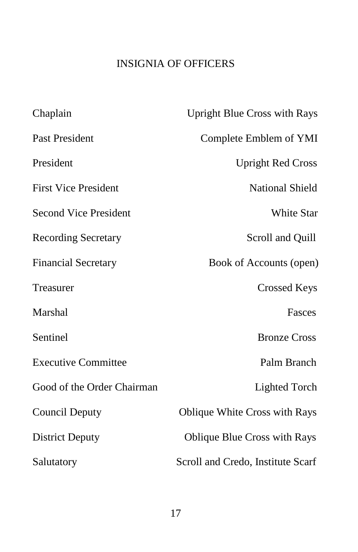## INSIGNIA OF OFFICERS

| Chaplain                     | <b>Upright Blue Cross with Rays</b>  |
|------------------------------|--------------------------------------|
| Past President               | Complete Emblem of YMI               |
| President                    | <b>Upright Red Cross</b>             |
| <b>First Vice President</b>  | <b>National Shield</b>               |
| <b>Second Vice President</b> | <b>White Star</b>                    |
| <b>Recording Secretary</b>   | Scroll and Quill                     |
| <b>Financial Secretary</b>   | Book of Accounts (open)              |
| Treasurer                    | <b>Crossed Keys</b>                  |
| Marshal                      | Fasces                               |
| Sentinel                     | <b>Bronze Cross</b>                  |
| <b>Executive Committee</b>   | Palm Branch                          |
| Good of the Order Chairman   | <b>Lighted Torch</b>                 |
| Council Deputy               | <b>Oblique White Cross with Rays</b> |
| <b>District Deputy</b>       | <b>Oblique Blue Cross with Rays</b>  |
| Salutatory                   | Scroll and Credo, Institute Scarf    |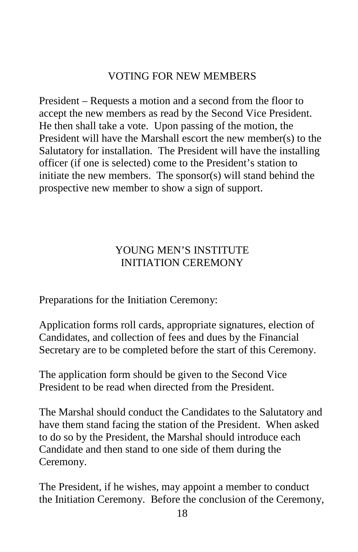## VOTING FOR NEW MEMBERS

President – Requests a motion and a second from the floor to accept the new members as read by the Second Vice President. He then shall take a vote. Upon passing of the motion, the President will have the Marshall escort the new member(s) to the Salutatory for installation. The President will have the installing officer (if one is selected) come to the President's station to initiate the new members. The sponsor(s) will stand behind the prospective new member to show a sign of support.

## YOUNG MEN'S INSTITUTE INITIATION CEREMONY

Preparations for the Initiation Ceremony:

Application forms roll cards, appropriate signatures, election of Candidates, and collection of fees and dues by the Financial Secretary are to be completed before the start of this Ceremony.

The application form should be given to the Second Vice President to be read when directed from the President.

The Marshal should conduct the Candidates to the Salutatory and have them stand facing the station of the President. When asked to do so by the President, the Marshal should introduce each Candidate and then stand to one side of them during the Ceremony.

The President, if he wishes, may appoint a member to conduct the Initiation Ceremony. Before the conclusion of the Ceremony,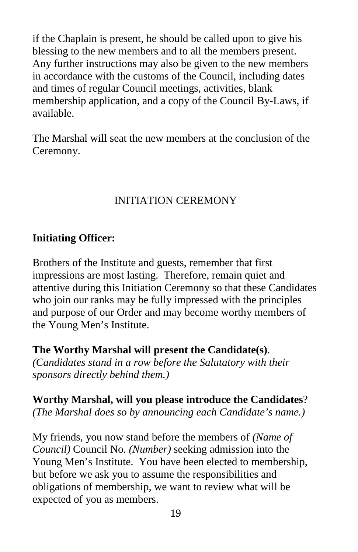if the Chaplain is present, he should be called upon to give his blessing to the new members and to all the members present. Any further instructions may also be given to the new members in accordance with the customs of the Council, including dates and times of regular Council meetings, activities, blank membership application, and a copy of the Council By-Laws, if available.

The Marshal will seat the new members at the conclusion of the Ceremony.

## INITIATION CEREMONY

## **Initiating Officer:**

Brothers of the Institute and guests, remember that first impressions are most lasting. Therefore, remain quiet and attentive during this Initiation Ceremony so that these Candidates who join our ranks may be fully impressed with the principles and purpose of our Order and may become worthy members of the Young Men's Institute.

## **The Worthy Marshal will present the Candidate(s)**.

*(Candidates stand in a row before the Salutatory with their sponsors directly behind them.)*

**Worthy Marshal, will you please introduce the Candidates**? *(The Marshal does so by announcing each Candidate's name.)*

My friends, you now stand before the members of *(Name of Council)* Council No. *(Number)* seeking admission into the Young Men's Institute. You have been elected to membership, but before we ask you to assume the responsibilities and obligations of membership, we want to review what will be expected of you as members.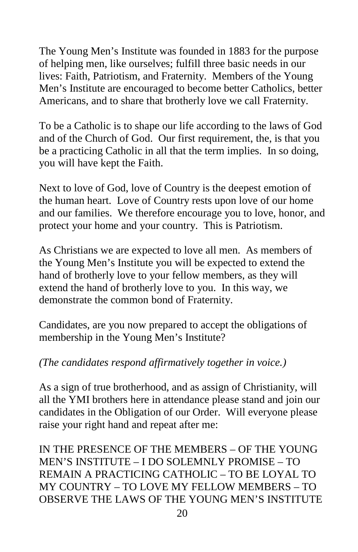The Young Men's Institute was founded in 1883 for the purpose of helping men, like ourselves; fulfill three basic needs in our lives: Faith, Patriotism, and Fraternity. Members of the Young Men's Institute are encouraged to become better Catholics, better Americans, and to share that brotherly love we call Fraternity.

To be a Catholic is to shape our life according to the laws of God and of the Church of God. Our first requirement, the, is that you be a practicing Catholic in all that the term implies. In so doing, you will have kept the Faith.

Next to love of God, love of Country is the deepest emotion of the human heart. Love of Country rests upon love of our home and our families. We therefore encourage you to love, honor, and protect your home and your country. This is Patriotism.

As Christians we are expected to love all men. As members of the Young Men's Institute you will be expected to extend the hand of brotherly love to your fellow members, as they will extend the hand of brotherly love to you. In this way, we demonstrate the common bond of Fraternity.

Candidates, are you now prepared to accept the obligations of membership in the Young Men's Institute?

## *(The candidates respond affirmatively together in voice.)*

As a sign of true brotherhood, and as assign of Christianity, will all the YMI brothers here in attendance please stand and join our candidates in the Obligation of our Order. Will everyone please raise your right hand and repeat after me:

IN THE PRESENCE OF THE MEMBERS – OF THE YOUNG MEN'S INSTITUTE – I DO SOLEMNLY PROMISE – TO REMAIN A PRACTICING CATHOLIC – TO BE LOYAL TO MY COUNTRY – TO LOVE MY FELLOW MEMBERS – TO OBSERVE THE LAWS OF THE YOUNG MEN'S INSTITUTE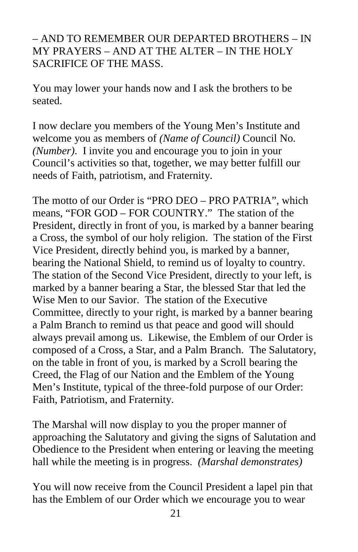## – AND TO REMEMBER OUR DEPARTED BROTHERS – IN MY PRAYERS – AND AT THE ALTER – IN THE HOLY SACRIFICE OF THE MASS.

You may lower your hands now and I ask the brothers to be seated.

I now declare you members of the Young Men's Institute and welcome you as members of *(Name of Council)* Council No. *(Number)*. I invite you and encourage you to join in your Council's activities so that, together, we may better fulfill our needs of Faith, patriotism, and Fraternity.

The motto of our Order is "PRO DEO – PRO PATRIA", which means, "FOR GOD – FOR COUNTRY." The station of the President, directly in front of you, is marked by a banner bearing a Cross, the symbol of our holy religion. The station of the First Vice President, directly behind you, is marked by a banner, bearing the National Shield, to remind us of loyalty to country. The station of the Second Vice President, directly to your left, is marked by a banner bearing a Star, the blessed Star that led the Wise Men to our Savior. The station of the Executive Committee, directly to your right, is marked by a banner bearing a Palm Branch to remind us that peace and good will should always prevail among us. Likewise, the Emblem of our Order is composed of a Cross, a Star, and a Palm Branch. The Salutatory, on the table in front of you, is marked by a Scroll bearing the Creed, the Flag of our Nation and the Emblem of the Young Men's Institute, typical of the three-fold purpose of our Order: Faith, Patriotism, and Fraternity.

The Marshal will now display to you the proper manner of approaching the Salutatory and giving the signs of Salutation and Obedience to the President when entering or leaving the meeting hall while the meeting is in progress. *(Marshal demonstrates)*

You will now receive from the Council President a lapel pin that has the Emblem of our Order which we encourage you to wear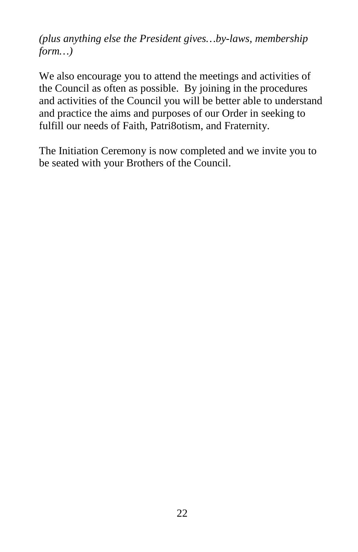*(plus anything else the President gives…by-laws, membership form…)*

We also encourage you to attend the meetings and activities of the Council as often as possible. By joining in the procedures and activities of the Council you will be better able to understand and practice the aims and purposes of our Order in seeking to fulfill our needs of Faith, Patri8otism, and Fraternity.

The Initiation Ceremony is now completed and we invite you to be seated with your Brothers of the Council.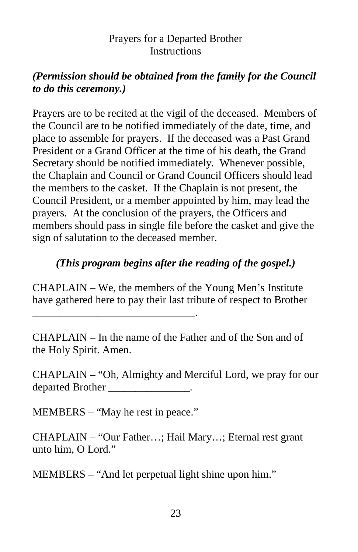### Prayers for a Departed Brother Instructions

## *(Permission should be obtained from the family for the Council to do this ceremony.)*

Prayers are to be recited at the vigil of the deceased. Members of the Council are to be notified immediately of the date, time, and place to assemble for prayers. If the deceased was a Past Grand President or a Grand Officer at the time of his death, the Grand Secretary should be notified immediately. Whenever possible, the Chaplain and Council or Grand Council Officers should lead the members to the casket. If the Chaplain is not present, the Council President, or a member appointed by him, may lead the prayers. At the conclusion of the prayers, the Officers and members should pass in single file before the casket and give the sign of salutation to the deceased member.

### *(This program begins after the reading of the gospel.)*

CHAPLAIN – We, the members of the Young Men's Institute have gathered here to pay their last tribute of respect to Brother

CHAPLAIN – In the name of the Father and of the Son and of the Holy Spirit. Amen.

CHAPLAIN – "Oh, Almighty and Merciful Lord, we pray for our departed Brother \_\_\_\_\_\_\_\_\_\_\_\_\_\_\_.

MEMBERS – "May he rest in peace."

\_\_\_\_\_\_\_\_\_\_\_\_\_\_\_\_\_\_\_\_\_\_\_\_\_\_\_\_\_\_.

CHAPLAIN – "Our Father…; Hail Mary…; Eternal rest grant unto him, O Lord."

MEMBERS – "And let perpetual light shine upon him."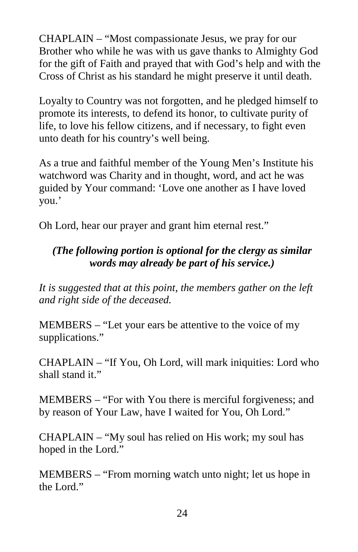CHAPLAIN – "Most compassionate Jesus, we pray for our Brother who while he was with us gave thanks to Almighty God for the gift of Faith and prayed that with God's help and with the Cross of Christ as his standard he might preserve it until death.

Loyalty to Country was not forgotten, and he pledged himself to promote its interests, to defend its honor, to cultivate purity of life, to love his fellow citizens, and if necessary, to fight even unto death for his country's well being.

As a true and faithful member of the Young Men's Institute his watchword was Charity and in thought, word, and act he was guided by Your command: 'Love one another as I have loved you.'

Oh Lord, hear our prayer and grant him eternal rest."

## *(The following portion is optional for the clergy as similar words may already be part of his service.)*

*It is suggested that at this point, the members gather on the left and right side of the deceased.*

MEMBERS – "Let your ears be attentive to the voice of my supplications."

CHAPLAIN – "If You, Oh Lord, will mark iniquities: Lord who shall stand it."

MEMBERS – "For with You there is merciful forgiveness; and by reason of Your Law, have I waited for You, Oh Lord."

CHAPLAIN – "My soul has relied on His work; my soul has hoped in the Lord."

MEMBERS – "From morning watch unto night; let us hope in the Lord."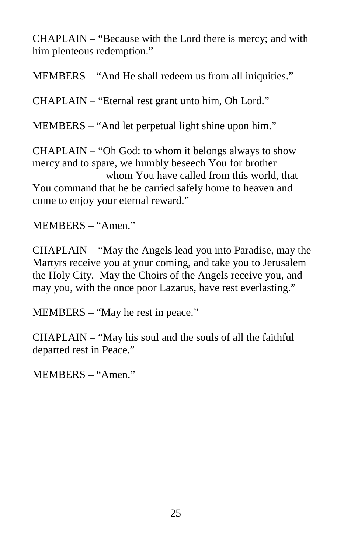CHAPLAIN – "Because with the Lord there is mercy; and with him plenteous redemption."

MEMBERS – "And He shall redeem us from all iniquities."

CHAPLAIN – "Eternal rest grant unto him, Oh Lord."

MEMBERS – "And let perpetual light shine upon him."

CHAPLAIN – "Oh God: to whom it belongs always to show mercy and to spare, we humbly beseech You for brother whom You have called from this world, that You command that he be carried safely home to heaven and come to enjoy your eternal reward."

MEMBERS – "Amen."

CHAPLAIN – "May the Angels lead you into Paradise, may the Martyrs receive you at your coming, and take you to Jerusalem the Holy City. May the Choirs of the Angels receive you, and may you, with the once poor Lazarus, have rest everlasting."

MEMBERS – "May he rest in peace."

CHAPLAIN – "May his soul and the souls of all the faithful departed rest in Peace."

MEMBERS – "Amen."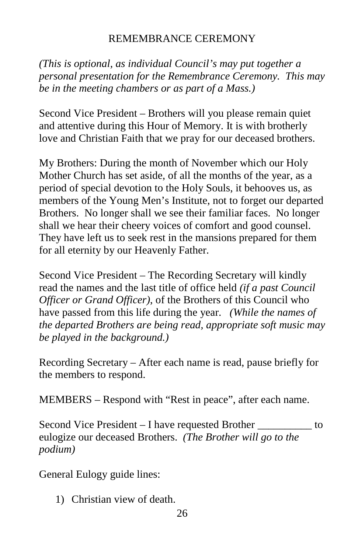#### REMEMBRANCE CEREMONY

*(This is optional, as individual Council's may put together a personal presentation for the Remembrance Ceremony. This may be in the meeting chambers or as part of a Mass.)*

Second Vice President – Brothers will you please remain quiet and attentive during this Hour of Memory. It is with brotherly love and Christian Faith that we pray for our deceased brothers.

My Brothers: During the month of November which our Holy Mother Church has set aside, of all the months of the year, as a period of special devotion to the Holy Souls, it behooves us, as members of the Young Men's Institute, not to forget our departed Brothers. No longer shall we see their familiar faces. No longer shall we hear their cheery voices of comfort and good counsel. They have left us to seek rest in the mansions prepared for them for all eternity by our Heavenly Father.

Second Vice President – The Recording Secretary will kindly read the names and the last title of office held *(if a past Council Officer or Grand Officer)*, of the Brothers of this Council who have passed from this life during the year. *(While the names of the departed Brothers are being read, appropriate soft music may be played in the background.)*

Recording Secretary – After each name is read, pause briefly for the members to respond.

MEMBERS – Respond with "Rest in peace", after each name.

Second Vice President – I have requested Brother \_\_\_\_\_\_\_\_\_\_ to eulogize our deceased Brothers. *(The Brother will go to the podium)*

General Eulogy guide lines:

1) Christian view of death.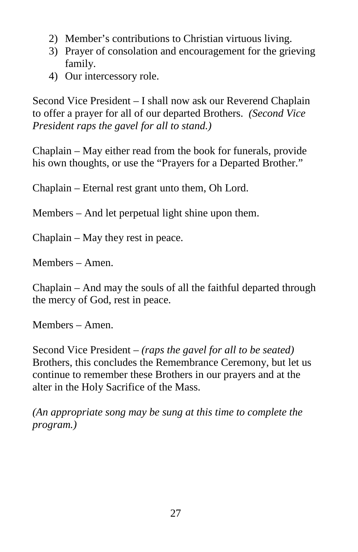- 2) Member's contributions to Christian virtuous living.
- 3) Prayer of consolation and encouragement for the grieving family.
- 4) Our intercessory role.

Second Vice President – I shall now ask our Reverend Chaplain to offer a prayer for all of our departed Brothers. *(Second Vice President raps the gavel for all to stand.)*

Chaplain – May either read from the book for funerals, provide his own thoughts, or use the "Prayers for a Departed Brother."

Chaplain – Eternal rest grant unto them, Oh Lord.

Members – And let perpetual light shine upon them.

Chaplain – May they rest in peace.

Members – Amen.

Chaplain – And may the souls of all the faithful departed through the mercy of God, rest in peace.

Members – Amen.

Second Vice President – *(raps the gavel for all to be seated)* Brothers, this concludes the Remembrance Ceremony, but let us continue to remember these Brothers in our prayers and at the alter in the Holy Sacrifice of the Mass.

*(An appropriate song may be sung at this time to complete the program.)*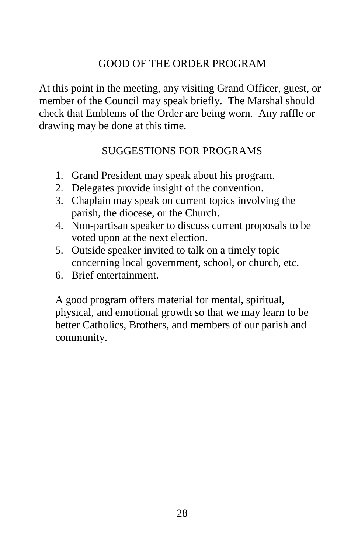## GOOD OF THE ORDER PROGRAM

At this point in the meeting, any visiting Grand Officer, guest, or member of the Council may speak briefly. The Marshal should check that Emblems of the Order are being worn. Any raffle or drawing may be done at this time.

## SUGGESTIONS FOR PROGRAMS

- 1. Grand President may speak about his program.
- 2. Delegates provide insight of the convention.
- 3. Chaplain may speak on current topics involving the parish, the diocese, or the Church.
- 4. Non-partisan speaker to discuss current proposals to be voted upon at the next election.
- 5. Outside speaker invited to talk on a timely topic concerning local government, school, or church, etc.
- 6. Brief entertainment.

A good program offers material for mental, spiritual, physical, and emotional growth so that we may learn to be better Catholics, Brothers, and members of our parish and community.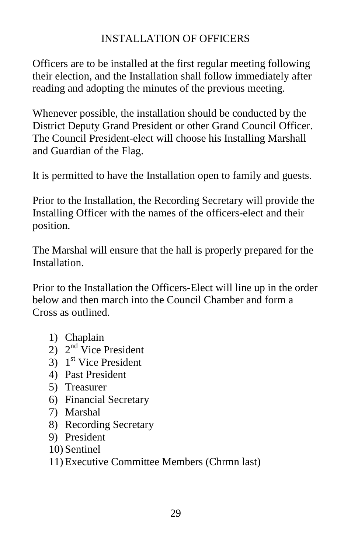## INSTALLATION OF OFFICERS

Officers are to be installed at the first regular meeting following their election, and the Installation shall follow immediately after reading and adopting the minutes of the previous meeting.

Whenever possible, the installation should be conducted by the District Deputy Grand President or other Grand Council Officer. The Council President-elect will choose his Installing Marshall and Guardian of the Flag.

It is permitted to have the Installation open to family and guests.

Prior to the Installation, the Recording Secretary will provide the Installing Officer with the names of the officers-elect and their position.

The Marshal will ensure that the hall is properly prepared for the Installation.

Prior to the Installation the Officers-Elect will line up in the order below and then march into the Council Chamber and form a Cross as outlined.

- 1) Chaplain
- 2)  $2<sup>nd</sup>$  Vice President
- 3)  $1<sup>st</sup>$  Vice President
- 4) Past President
- 5) Treasurer
- 6) Financial Secretary
- 7) Marshal
- 8) Recording Secretary
- 9) President
- 10) Sentinel
- 11) Executive Committee Members (Chrmn last)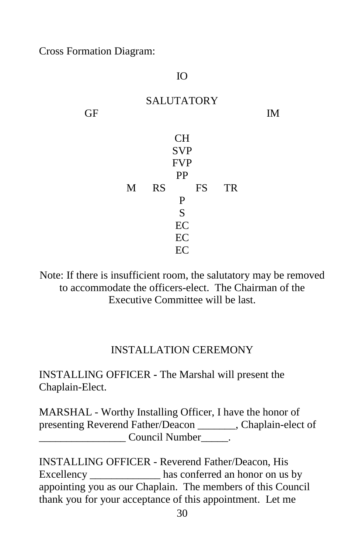Cross Formation Diagram:

#### IO

**SALUTATORY** 

GF IM

CH SVP FVP PP M RS FS TR P S EC EC EC

Note: If there is insufficient room, the salutatory may be removed to accommodate the officers-elect. The Chairman of the Executive Committee will be last.

## INSTALLATION CEREMONY

INSTALLING OFFICER **-** The Marshal will present the Chaplain-Elect.

MARSHAL - Worthy Installing Officer, I have the honor of presenting Reverend Father/Deacon \_\_\_\_\_\_\_, Chaplain-elect of Council Number .

INSTALLING OFFICER - Reverend Father/Deacon, His Excellency has conferred an honor on us by appointing you as our Chaplain. The members of this Council thank you for your acceptance of this appointment. Let me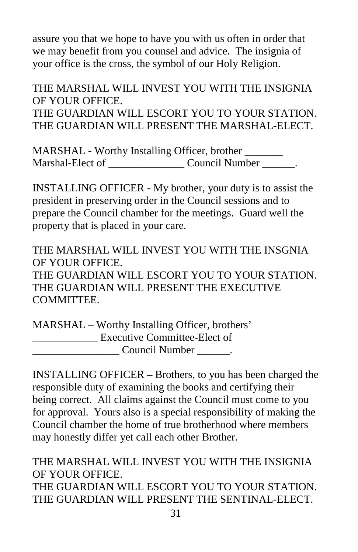assure you that we hope to have you with us often in order that we may benefit from you counsel and advice. The insignia of your office is the cross, the symbol of our Holy Religion.

THE MARSHAL WILL INVEST YOU WITH THE INSIGNIA OF YOUR OFFICE. THE GUARDIAN WILL ESCORT YOU TO YOUR STATION. THE GUARDIAN WILL PRESENT THE MARSHAL-ELECT.

MARSHAL - Worthy Installing Officer, brother Marshal-Elect of \_\_\_\_\_\_\_\_\_\_\_\_\_\_ Council Number \_\_\_\_\_\_.

INSTALLING OFFICER - My brother, your duty is to assist the president in preserving order in the Council sessions and to prepare the Council chamber for the meetings. Guard well the property that is placed in your care.

THE MARSHAL WILL INVEST YOU WITH THE INSGNIA OF YOUR OFFICE. THE GUARDIAN WILL ESCORT YOU TO YOUR STATION. THE GUARDIAN WILL PRESENT THE EXECUTIVE COMMITTEE.

MARSHAL – Worthy Installing Officer, brothers' Executive Committee-Elect of \_\_\_\_\_\_\_\_\_\_\_\_\_\_\_\_ Council Number \_\_\_\_\_\_.

INSTALLING OFFICER – Brothers, to you has been charged the responsible duty of examining the books and certifying their being correct. All claims against the Council must come to you for approval. Yours also is a special responsibility of making the Council chamber the home of true brotherhood where members may honestly differ yet call each other Brother.

THE MARSHAL WILL INVEST YOU WITH THE INSIGNIA OF YOUR OFFICE. THE GUARDIAN WILL ESCORT YOU TO YOUR STATION. THE GUARDIAN WILL PRESENT THE SENTINAL-ELECT.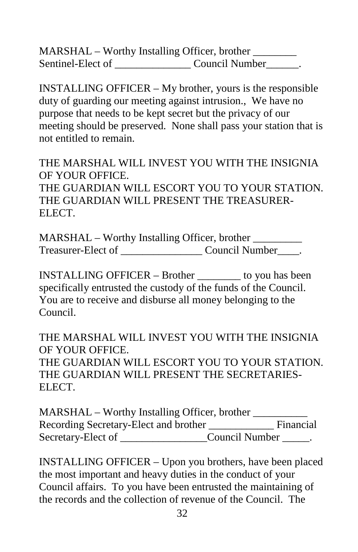MARSHAL – Worthy Installing Officer, brother Sentinel-Elect of Council Number council Number

INSTALLING OFFICER – My brother, yours is the responsible duty of guarding our meeting against intrusion., We have no purpose that needs to be kept secret but the privacy of our meeting should be preserved. None shall pass your station that is not entitled to remain.

THE MARSHAL WILL INVEST YOU WITH THE INSIGNIA OF YOUR OFFICE.

THE GUARDIAN WILL ESCORT YOU TO YOUR STATION. THE GUARDIAN WILL PRESENT THE TREASURER-ELECT.

MARSHAL – Worthy Installing Officer, brother \_\_\_\_\_\_\_\_\_ Treasurer-Elect of \_\_\_\_\_\_\_\_\_\_\_\_\_\_\_\_\_\_\_\_\_\_ Council Number\_\_\_\_\_.

INSTALLING OFFICER – Brother \_\_\_\_\_\_\_\_ to you has been specifically entrusted the custody of the funds of the Council. You are to receive and disburse all money belonging to the Council.

THE MARSHAL WILL INVEST YOU WITH THE INSIGNIA OF YOUR OFFICE.

THE GUARDIAN WILL ESCORT YOU TO YOUR STATION. THE GUARDIAN WILL PRESENT THE SECRETARIES-ELECT.

MARSHAL – Worthy Installing Officer, brother \_\_\_\_\_\_\_\_\_\_\_ Recording Secretary-Elect and brother \_\_\_\_\_\_\_\_\_\_\_\_ Financial Secretary-Elect of \_\_\_\_\_\_\_\_\_\_\_\_\_\_\_\_\_\_Council Number \_\_\_\_\_.

INSTALLING OFFICER – Upon you brothers, have been placed the most important and heavy duties in the conduct of your Council affairs. To you have been entrusted the maintaining of the records and the collection of revenue of the Council. The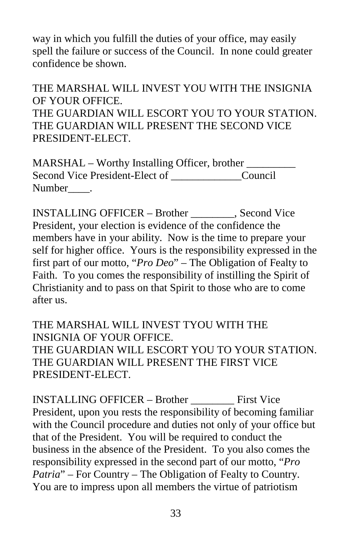way in which you fulfill the duties of your office, may easily spell the failure or success of the Council. In none could greater confidence be shown.

THE MARSHAL WILL INVEST YOU WITH THE INSIGNIA OF YOUR OFFICE. THE GUARDIAN WILL ESCORT YOU TO YOUR STATION. THE GUARDIAN WILL PRESENT THE SECOND VICE PRESIDENT-ELECT.

MARSHAL – Worthy Installing Officer, brother Second Vice President-Elect of \_\_\_\_\_\_\_\_\_\_\_\_\_Council Number.

INSTALLING OFFICER – Brother \_\_\_\_\_\_\_\_, Second Vice President, your election is evidence of the confidence the members have in your ability. Now is the time to prepare your self for higher office. Yours is the responsibility expressed in the first part of our motto, "*Pro Deo*" – The Obligation of Fealty to Faith. To you comes the responsibility of instilling the Spirit of Christianity and to pass on that Spirit to those who are to come after us.

THE MARSHAL WILL INVEST TYOU WITH THE INSIGNIA OF YOUR OFFICE. THE GUARDIAN WILL ESCORT YOU TO YOUR STATION. THE GUARDIAN WILL PRESENT THE FIRST VICE PRESIDENT-ELECT.

INSTALLING OFFICER – Brother \_\_\_\_\_\_\_\_ First Vice President, upon you rests the responsibility of becoming familiar with the Council procedure and duties not only of your office but that of the President. You will be required to conduct the business in the absence of the President. To you also comes the responsibility expressed in the second part of our motto, "*Pro Patria*" – For Country – The Obligation of Fealty to Country. You are to impress upon all members the virtue of patriotism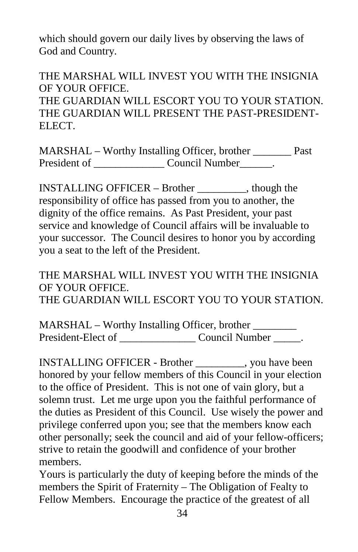which should govern our daily lives by observing the laws of God and Country.

THE MARSHAL WILL INVEST YOU WITH THE INSIGNIA OF YOUR OFFICE. THE GUARDIAN WILL ESCORT YOU TO YOUR STATION. THE GUARDIAN WILL PRESENT THE PAST-PRESIDENT-ELECT.

MARSHAL – Worthy Installing Officer, brother \_\_\_\_\_\_\_ Past President of Council Number .

INSTALLING OFFICER – Brother \_\_\_\_\_\_\_\_\_, though the responsibility of office has passed from you to another, the dignity of the office remains. As Past President, your past service and knowledge of Council affairs will be invaluable to your successor. The Council desires to honor you by according you a seat to the left of the President.

THE MARSHAL WILL INVEST YOU WITH THE INSIGNIA OF YOUR OFFICE. THE GUARDIAN WILL ESCORT YOU TO YOUR STATION.

MARSHAL – Worthy Installing Officer, brother \_\_\_\_\_\_\_\_ President-Elect of \_\_\_\_\_\_\_\_\_\_\_\_\_\_\_\_\_\_\_\_ Council Number \_\_\_\_\_.

INSTALLING OFFICER - Brother \_\_\_\_\_\_\_\_\_, you have been honored by your fellow members of this Council in your election to the office of President. This is not one of vain glory, but a solemn trust. Let me urge upon you the faithful performance of the duties as President of this Council. Use wisely the power and privilege conferred upon you; see that the members know each other personally; seek the council and aid of your fellow-officers; strive to retain the goodwill and confidence of your brother members.

Yours is particularly the duty of keeping before the minds of the members the Spirit of Fraternity – The Obligation of Fealty to Fellow Members. Encourage the practice of the greatest of all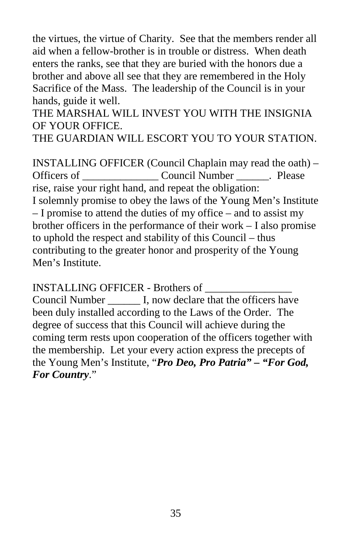the virtues, the virtue of Charity. See that the members render all aid when a fellow-brother is in trouble or distress. When death enters the ranks, see that they are buried with the honors due a brother and above all see that they are remembered in the Holy Sacrifice of the Mass. The leadership of the Council is in your hands, guide it well.

THE MARSHAL WILL INVEST YOU WITH THE INSIGNIA OF YOUR OFFICE.

THE GUARDIAN WILL ESCORT YOU TO YOUR STATION.

INSTALLING OFFICER (Council Chaplain may read the oath) – Officers of  $\qquad \qquad \text{ Council Number} \qquad \qquad$ . Please rise, raise your right hand, and repeat the obligation: I solemnly promise to obey the laws of the Young Men's Institute – I promise to attend the duties of my office – and to assist my brother officers in the performance of their work – I also promise to uphold the respect and stability of this Council – thus contributing to the greater honor and prosperity of the Young Men's Institute.

INSTALLING OFFICER - Brothers of \_\_\_\_\_\_\_\_\_\_\_\_\_\_\_\_

Council Number I, now declare that the officers have been duly installed according to the Laws of the Order. The degree of success that this Council will achieve during the coming term rests upon cooperation of the officers together with the membership. Let your every action express the precepts of the Young Men's Institute, "*Pro Deo, Pro Patria" – "For God, For Country*."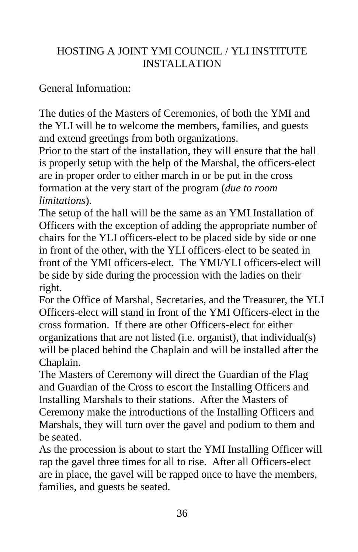## HOSTING A JOINT YMI COUNCIL / YLI INSTITUTE INSTALLATION

## General Information:

The duties of the Masters of Ceremonies, of both the YMI and the YLI will be to welcome the members, families, and guests and extend greetings from both organizations.

Prior to the start of the installation, they will ensure that the hall is properly setup with the help of the Marshal, the officers-elect are in proper order to either march in or be put in the cross formation at the very start of the program (*due to room limitations*).

The setup of the hall will be the same as an YMI Installation of Officers with the exception of adding the appropriate number of chairs for the YLI officers-elect to be placed side by side or one in front of the other, with the YLI officers-elect to be seated in front of the YMI officers-elect. The YMI/YLI officers-elect will be side by side during the procession with the ladies on their right.

For the Office of Marshal, Secretaries, and the Treasurer, the YLI Officers-elect will stand in front of the YMI Officers-elect in the cross formation. If there are other Officers-elect for either organizations that are not listed (i.e. organist), that individual(s) will be placed behind the Chaplain and will be installed after the Chaplain.

The Masters of Ceremony will direct the Guardian of the Flag and Guardian of the Cross to escort the Installing Officers and Installing Marshals to their stations. After the Masters of Ceremony make the introductions of the Installing Officers and Marshals, they will turn over the gavel and podium to them and be seated.

As the procession is about to start the YMI Installing Officer will rap the gavel three times for all to rise. After all Officers-elect are in place, the gavel will be rapped once to have the members, families, and guests be seated.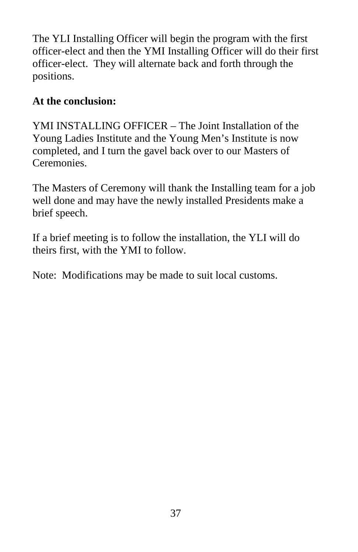The YLI Installing Officer will begin the program with the first officer-elect and then the YMI Installing Officer will do their first officer-elect. They will alternate back and forth through the positions.

## **At the conclusion:**

YMI INSTALLING OFFICER – The Joint Installation of the Young Ladies Institute and the Young Men's Institute is now completed, and I turn the gavel back over to our Masters of Ceremonies.

The Masters of Ceremony will thank the Installing team for a job well done and may have the newly installed Presidents make a brief speech.

If a brief meeting is to follow the installation, the YLI will do theirs first, with the YMI to follow.

Note: Modifications may be made to suit local customs.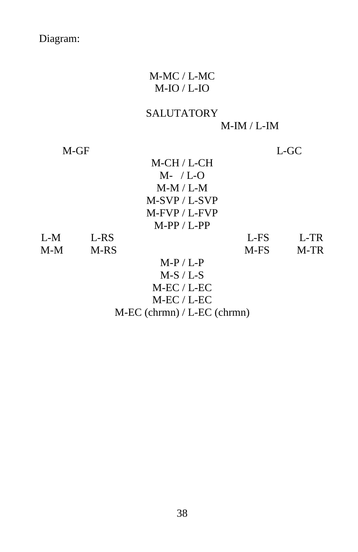Diagram:

# M-MC / L-MC M-IO / L-IO **SALUTATORY**  M-IM / L-IM M-GF L-GC M-CH / L-CH M- / L-O M-M / L-M M-SVP / L-SVP M-FVP / L-FVP M-PP / L-PP L-M L-RS L-FS L-TR M-M M-RS M-FS M-TR M-P / L-P  $M-S/L-S$ M-EC / L-EC M-EC / L-EC M-EC (chrmn) / L-EC (chrmn)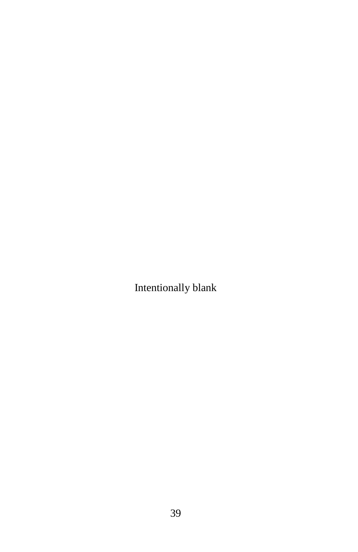Intentionally blank